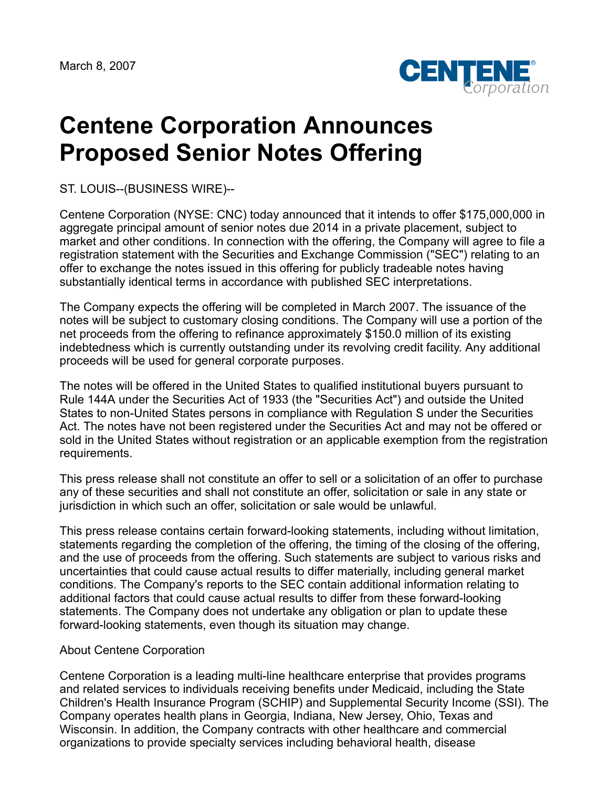

## **Centene Corporation Announces Proposed Senior Notes Offering**

ST. LOUIS--(BUSINESS WIRE)--

Centene Corporation (NYSE: CNC) today announced that it intends to offer \$175,000,000 in aggregate principal amount of senior notes due 2014 in a private placement, subject to market and other conditions. In connection with the offering, the Company will agree to file a registration statement with the Securities and Exchange Commission ("SEC") relating to an offer to exchange the notes issued in this offering for publicly tradeable notes having substantially identical terms in accordance with published SEC interpretations.

The Company expects the offering will be completed in March 2007. The issuance of the notes will be subject to customary closing conditions. The Company will use a portion of the net proceeds from the offering to refinance approximately \$150.0 million of its existing indebtedness which is currently outstanding under its revolving credit facility. Any additional proceeds will be used for general corporate purposes.

The notes will be offered in the United States to qualified institutional buyers pursuant to Rule 144A under the Securities Act of 1933 (the "Securities Act") and outside the United States to non-United States persons in compliance with Regulation S under the Securities Act. The notes have not been registered under the Securities Act and may not be offered or sold in the United States without registration or an applicable exemption from the registration requirements.

This press release shall not constitute an offer to sell or a solicitation of an offer to purchase any of these securities and shall not constitute an offer, solicitation or sale in any state or jurisdiction in which such an offer, solicitation or sale would be unlawful.

This press release contains certain forward-looking statements, including without limitation, statements regarding the completion of the offering, the timing of the closing of the offering, and the use of proceeds from the offering. Such statements are subject to various risks and uncertainties that could cause actual results to differ materially, including general market conditions. The Company's reports to the SEC contain additional information relating to additional factors that could cause actual results to differ from these forward-looking statements. The Company does not undertake any obligation or plan to update these forward-looking statements, even though its situation may change.

## About Centene Corporation

Centene Corporation is a leading multi-line healthcare enterprise that provides programs and related services to individuals receiving benefits under Medicaid, including the State Children's Health Insurance Program (SCHIP) and Supplemental Security Income (SSI). The Company operates health plans in Georgia, Indiana, New Jersey, Ohio, Texas and Wisconsin. In addition, the Company contracts with other healthcare and commercial organizations to provide specialty services including behavioral health, disease